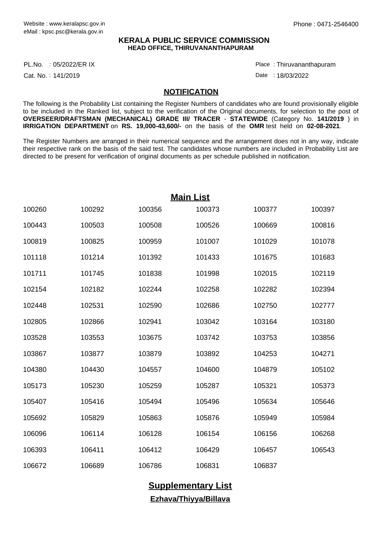## **KERALA PUBLIC SERVICE COMMISSION HEAD OFFICE, THIRUVANANTHAPURAM**

PL.No. : 05/2022/ER IX Place Proposal and the set of the set of the set of the set of the set of the set of th

Cat. No.: 141/2019

Thiruvananthapuram :

Date: 18/03/2022

## **NOTIFICATION**

The following is the Probability List containing the Register Numbers of candidates who are found provisionally eligible to be included in the Ranked list, subject to the verification of the Original documents, for selection to the post of **OVERSEER/DRAFTSMAN (MECHANICAL) GRADE III/ TRACER** - **STATEWIDE** (Category No. **141/2019** ) in **IRRIGATION DEPARTMENT** on **RS. 19,000-43,600/-** on the basis of the **OMR** test held on **02-08-2021**.

The Register Numbers are arranged in their numerical sequence and the arrangement does not in any way, indicate their respective rank on the basis of the said test. The candidates whose numbers are included in Probability List are directed to be present for verification of original documents as per schedule published in notification.

| <b>Main List</b> |        |        |        |        |        |  |  |  |  |  |
|------------------|--------|--------|--------|--------|--------|--|--|--|--|--|
| 100260           | 100292 | 100356 | 100373 | 100377 | 100397 |  |  |  |  |  |
| 100443           | 100503 | 100508 | 100526 | 100669 | 100816 |  |  |  |  |  |
| 100819           | 100825 | 100959 | 101007 | 101029 | 101078 |  |  |  |  |  |
| 101118           | 101214 | 101392 | 101433 | 101675 | 101683 |  |  |  |  |  |
| 101711           | 101745 | 101838 | 101998 | 102015 | 102119 |  |  |  |  |  |
| 102154           | 102182 | 102244 | 102258 | 102282 | 102394 |  |  |  |  |  |
| 102448           | 102531 | 102590 | 102686 | 102750 | 102777 |  |  |  |  |  |
| 102805           | 102866 | 102941 | 103042 | 103164 | 103180 |  |  |  |  |  |
| 103528           | 103553 | 103675 | 103742 | 103753 | 103856 |  |  |  |  |  |
| 103867           | 103877 | 103879 | 103892 | 104253 | 104271 |  |  |  |  |  |
| 104380           | 104430 | 104557 | 104600 | 104879 | 105102 |  |  |  |  |  |
| 105173           | 105230 | 105259 | 105287 | 105321 | 105373 |  |  |  |  |  |
| 105407           | 105416 | 105494 | 105496 | 105634 | 105646 |  |  |  |  |  |
| 105692           | 105829 | 105863 | 105876 | 105949 | 105984 |  |  |  |  |  |
| 106096           | 106114 | 106128 | 106154 | 106156 | 106268 |  |  |  |  |  |
| 106393           | 106411 | 106412 | 106429 | 106457 | 106543 |  |  |  |  |  |
| 106672           | 106689 | 106786 | 106831 | 106837 |        |  |  |  |  |  |

**Supplementary List Ezhava/Thiyya/Billava**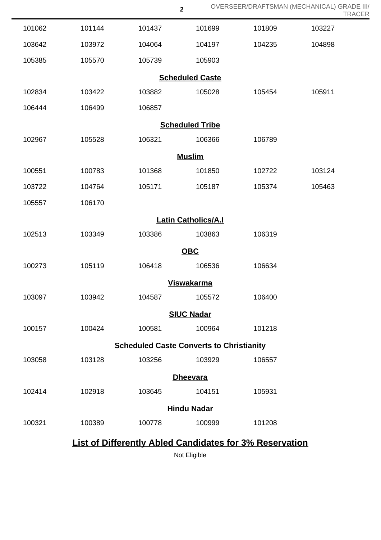|                                                 |        |        | $\mathbf 2$ | OVERSEER/DRAFTSMAN (MECHANICAL) GRADE III/                     |        | <b>TRACER</b> |  |  |  |  |
|-------------------------------------------------|--------|--------|-------------|----------------------------------------------------------------|--------|---------------|--|--|--|--|
| 101062                                          | 101144 | 101437 | 101699      | 101809                                                         | 103227 |               |  |  |  |  |
| 103642                                          | 103972 | 104064 | 104197      | 104235                                                         | 104898 |               |  |  |  |  |
| 105385                                          | 105570 | 105739 | 105903      |                                                                |        |               |  |  |  |  |
| <b>Scheduled Caste</b>                          |        |        |             |                                                                |        |               |  |  |  |  |
| 102834                                          | 103422 | 103882 | 105028      | 105454                                                         | 105911 |               |  |  |  |  |
| 106444                                          | 106499 | 106857 |             |                                                                |        |               |  |  |  |  |
| <b>Scheduled Tribe</b>                          |        |        |             |                                                                |        |               |  |  |  |  |
| 102967                                          | 105528 | 106321 | 106366      | 106789                                                         |        |               |  |  |  |  |
| <b>Muslim</b>                                   |        |        |             |                                                                |        |               |  |  |  |  |
| 100551                                          | 100783 | 101368 | 101850      | 102722                                                         | 103124 |               |  |  |  |  |
| 103722                                          | 104764 | 105171 | 105187      | 105374                                                         | 105463 |               |  |  |  |  |
| 105557                                          | 106170 |        |             |                                                                |        |               |  |  |  |  |
| <b>Latin Catholics/A.I</b>                      |        |        |             |                                                                |        |               |  |  |  |  |
| 102513                                          | 103349 | 103386 | 103863      | 106319                                                         |        |               |  |  |  |  |
| <b>OBC</b>                                      |        |        |             |                                                                |        |               |  |  |  |  |
| 100273                                          | 105119 | 106418 | 106536      | 106634                                                         |        |               |  |  |  |  |
| <b>Viswakarma</b>                               |        |        |             |                                                                |        |               |  |  |  |  |
| 103097                                          | 103942 | 104587 | 105572      | 106400                                                         |        |               |  |  |  |  |
| <b>SIUC Nadar</b>                               |        |        |             |                                                                |        |               |  |  |  |  |
| 100157                                          | 100424 | 100581 | 100964      | 101218                                                         |        |               |  |  |  |  |
| <b>Scheduled Caste Converts to Christianity</b> |        |        |             |                                                                |        |               |  |  |  |  |
| 103058                                          | 103128 | 103256 | 103929      | 106557                                                         |        |               |  |  |  |  |
| <b>Dheevara</b>                                 |        |        |             |                                                                |        |               |  |  |  |  |
| 102414                                          | 102918 | 103645 | 104151      | 105931                                                         |        |               |  |  |  |  |
| <b>Hindu Nadar</b>                              |        |        |             |                                                                |        |               |  |  |  |  |
| 100321                                          | 100389 | 100778 | 100999      | 101208                                                         |        |               |  |  |  |  |
|                                                 |        |        |             | <b>List of Differently Abled Candidates for 3% Reservation</b> |        |               |  |  |  |  |

Not Eligible